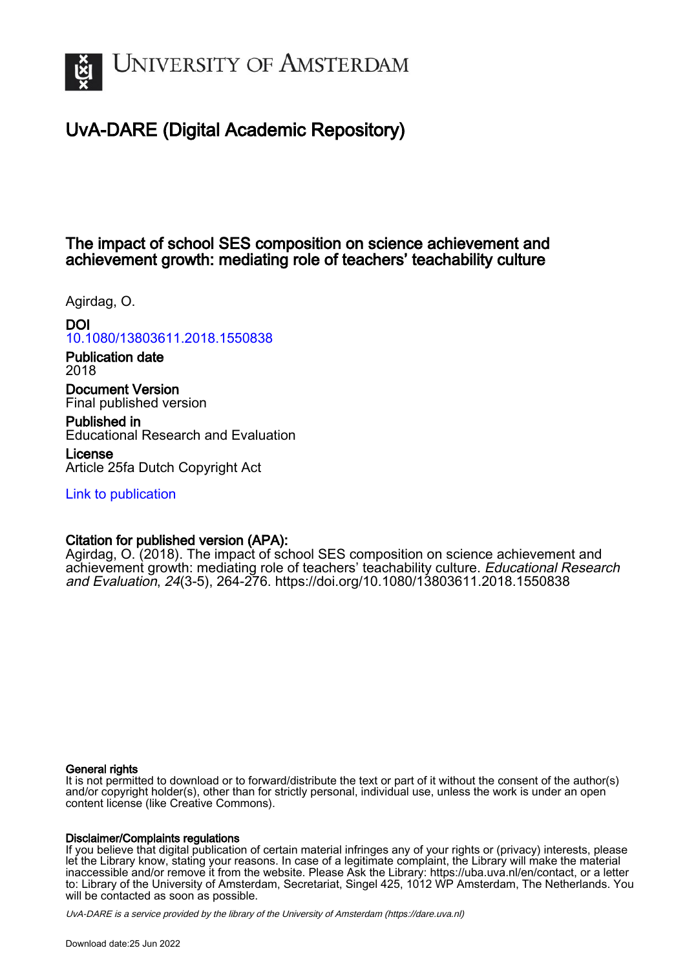

# UvA-DARE (Digital Academic Repository)

## The impact of school SES composition on science achievement and achievement growth: mediating role of teachers' teachability culture

Agirdag, O.

## DOI

# [10.1080/13803611.2018.1550838](https://doi.org/10.1080/13803611.2018.1550838)

Publication date 2018

Document Version Final published version

Published in Educational Research and Evaluation

License Article 25fa Dutch Copyright Act

[Link to publication](https://dare.uva.nl/personal/pure/en/publications/the-impact-of-school-ses-composition-on-science-achievement-and-achievement-growth-mediating-role-of-teachers-teachability-culture(d7b73a23-fd2b-432f-9e33-528e350217d3).html)

## Citation for published version (APA):

Agirdag, O. (2018). The impact of school SES composition on science achievement and achievement growth: mediating role of teachers' teachability culture. Educational Research and Evaluation, 24(3-5), 264-276. <https://doi.org/10.1080/13803611.2018.1550838>

## General rights

It is not permitted to download or to forward/distribute the text or part of it without the consent of the author(s) and/or copyright holder(s), other than for strictly personal, individual use, unless the work is under an open content license (like Creative Commons).

## Disclaimer/Complaints regulations

If you believe that digital publication of certain material infringes any of your rights or (privacy) interests, please let the Library know, stating your reasons. In case of a legitimate complaint, the Library will make the material inaccessible and/or remove it from the website. Please Ask the Library: https://uba.uva.nl/en/contact, or a letter to: Library of the University of Amsterdam, Secretariat, Singel 425, 1012 WP Amsterdam, The Netherlands. You will be contacted as soon as possible.

UvA-DARE is a service provided by the library of the University of Amsterdam (http*s*://dare.uva.nl)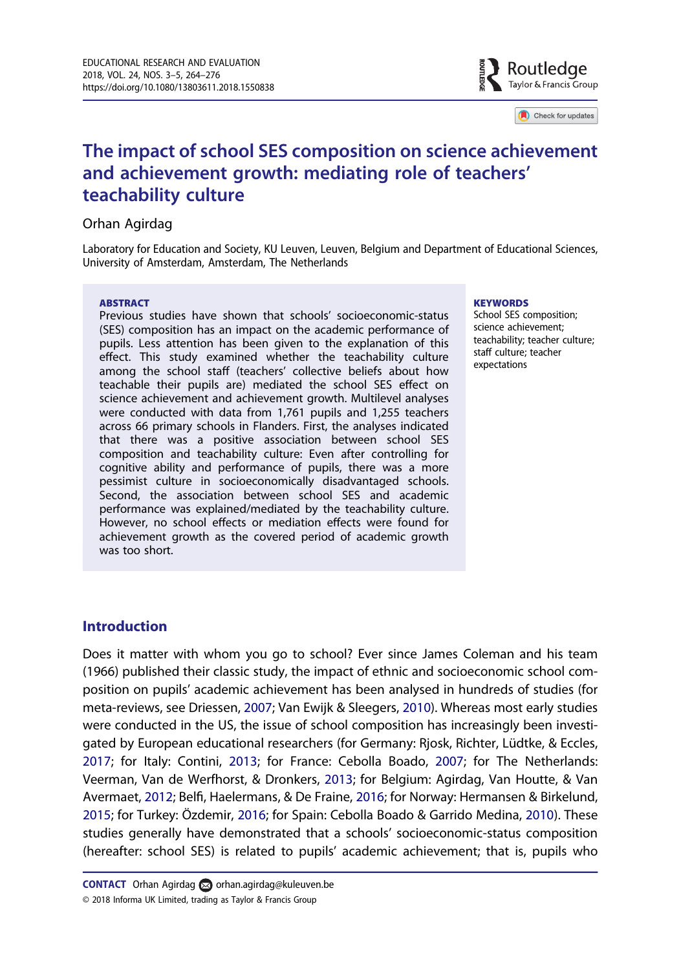

Check for updates

# <span id="page-1-0"></span>The impact of school SES composition on science achievement and achievement growth: mediating role of teachers' teachability culture

## Orhan Agirdag

Laboratory for Education and Society, KU Leuven, Leuven, Belgium and Department of Educational Sciences, University of Amsterdam, Amsterdam, The Netherlands

#### **ABSTRACT**

Previous studies have shown that schools' socioeconomic-status (SES) composition has an impact on the academic performance of pupils. Less attention has been given to the explanation of this effect. This study examined whether the teachability culture among the school staff (teachers' collective beliefs about how teachable their pupils are) mediated the school SES effect on science achievement and achievement growth. Multilevel analyses were conducted with data from 1,761 pupils and 1,255 teachers across 66 primary schools in Flanders. First, the analyses indicated that there was a positive association between school SES composition and teachability culture: Even after controlling for cognitive ability and performance of pupils, there was a more pessimist culture in socioeconomically disadvantaged schools. Second, the association between school SES and academic performance was explained/mediated by the teachability culture. However, no school effects or mediation effects were found for achievement growth as the covered period of academic growth was too short.

#### **KEYWORDS**

School SES composition; science achievement; teachability; teacher culture; staff culture; teacher expectations

## Introduction

Does it matter with whom you go to school? Ever since James Coleman and his team (1966) published their classic study, the impact of ethnic and socioeconomic school composition on pupils' academic achievement has been analysed in hundreds of studies (for meta-reviews, see Driessen, [2007](#page-11-0); Van Ewijk & Sleegers, [2010](#page-13-0)). Whereas most early studies were conducted in the US, the issue of school composition has increasingly been investigated by European educational researchers (for Germany: Rjosk, Richter, Lüdtke, & Eccles, [2017](#page-12-0); for Italy: Contini, [2013](#page-11-0); for France: Cebolla Boado, [2007;](#page-11-0) for The Netherlands: Veerman, Van de Werfhorst, & Dronkers, [2013;](#page-13-0) for Belgium: Agirdag, Van Houtte, & Van Avermaet, [2012](#page-11-0); Belfi, Haelermans, & De Fraine, [2016](#page-11-0); for Norway: Hermansen & Birkelund, [2015](#page-12-0); for Turkey: Özdemir, [2016;](#page-12-0) for Spain: Cebolla Boado & Garrido Medina, [2010](#page-11-0)). These studies generally have demonstrated that a schools' socioeconomic-status composition (hereafter: school SES) is related to pupils' academic achievement; that is, pupils who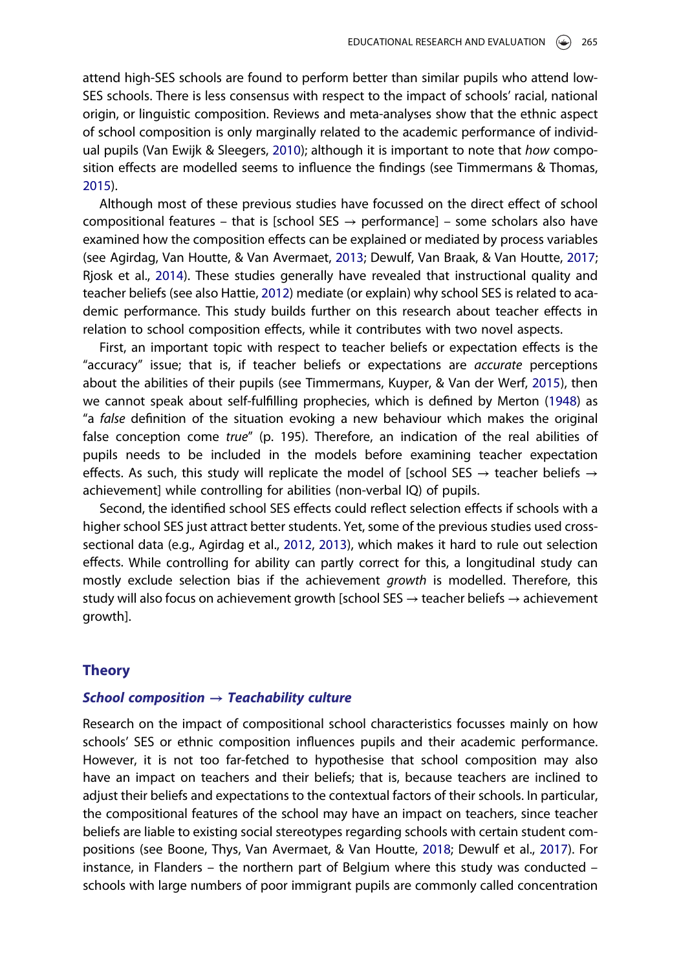<span id="page-2-0"></span>attend high-SES schools are found to perform better than similar pupils who attend low-SES schools. There is less consensus with respect to the impact of schools' racial, national origin, or linguistic composition. Reviews and meta-analyses show that the ethnic aspect of school composition is only marginally related to the academic performance of individ-ual pupils (Van Ewijk & Sleegers, [2010\)](#page-13-0); although it is important to note that how composition effects are modelled seems to influence the findings (see Timmermans & Thomas, [2015](#page-13-0)).

Although most of these previous studies have focussed on the direct effect of school compositional features – that is [school SES  $\rightarrow$  performance] – some scholars also have examined how the composition effects can be explained or mediated by process variables (see Agirdag, Van Houtte, & Van Avermaet, [2013;](#page-11-0) Dewulf, Van Braak, & Van Houtte, [2017](#page-11-0); Rjosk et al., [2014](#page-12-0)). These studies generally have revealed that instructional quality and teacher beliefs (see also Hattie, [2012\)](#page-12-0) mediate (or explain) why school SES is related to academic performance. This study builds further on this research about teacher effects in relation to school composition effects, while it contributes with two novel aspects.

First, an important topic with respect to teacher beliefs or expectation effects is the "accuracy" issue; that is, if teacher beliefs or expectations are accurate perceptions about the abilities of their pupils (see Timmermans, Kuyper, & Van der Werf, [2015](#page-13-0)), then we cannot speak about self-fulfilling prophecies, which is defined by Merton [\(1948\)](#page-12-0) as "a false definition of the situation evoking a new behaviour which makes the original false conception come true" (p. 195). Therefore, an indication of the real abilities of pupils needs to be included in the models before examining teacher expectation effects. As such, this study will replicate the model of [school SES  $\rightarrow$  teacher beliefs  $\rightarrow$ achievement] while controlling for abilities (non-verbal IQ) of pupils.

Second, the identified school SES effects could reflect selection effects if schools with a higher school SES just attract better students. Yet, some of the previous studies used crosssectional data (e.g., Agirdag et al., [2012](#page-11-0), [2013](#page-11-0)), which makes it hard to rule out selection effects. While controlling for ability can partly correct for this, a longitudinal study can mostly exclude selection bias if the achievement growth is modelled. Therefore, this study will also focus on achievement growth [school SES  $\rightarrow$  teacher beliefs  $\rightarrow$  achievement growth].

#### Theory

#### School composition  $\rightarrow$  Teachability culture

Research on the impact of compositional school characteristics focusses mainly on how schools' SES or ethnic composition influences pupils and their academic performance. However, it is not too far-fetched to hypothesise that school composition may also have an impact on teachers and their beliefs; that is, because teachers are inclined to adjust their beliefs and expectations to the contextual factors of their schools. In particular, the compositional features of the school may have an impact on teachers, since teacher beliefs are liable to existing social stereotypes regarding schools with certain student compositions (see Boone, Thys, Van Avermaet, & Van Houtte, [2018;](#page-11-0) Dewulf et al., [2017\)](#page-11-0). For instance, in Flanders – the northern part of Belgium where this study was conducted – schools with large numbers of poor immigrant pupils are commonly called concentration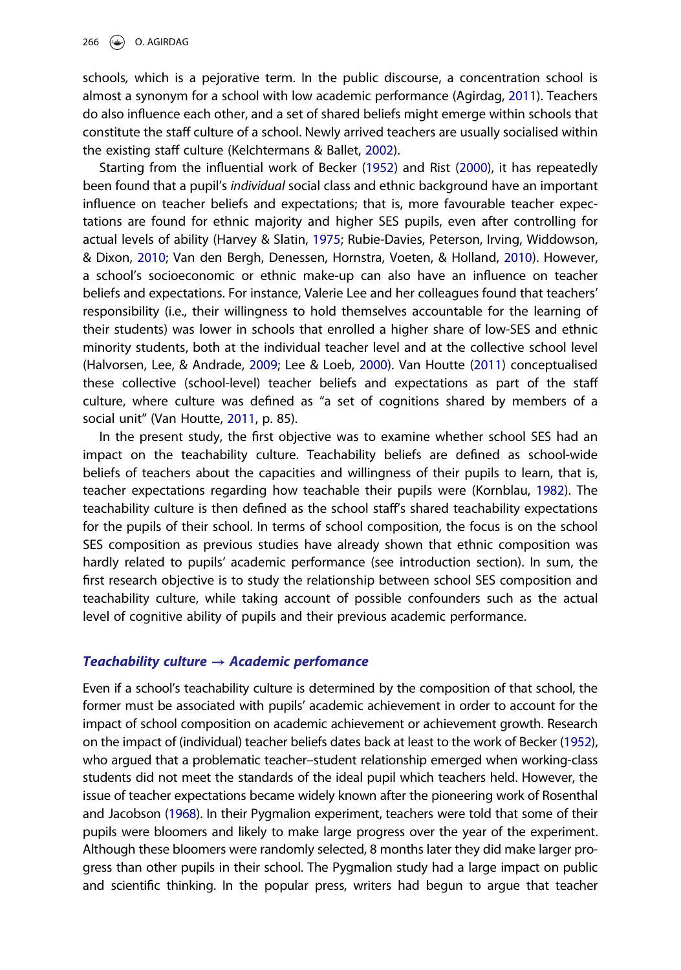<span id="page-3-0"></span>schools, which is a pejorative term. In the public discourse, a concentration school is almost a synonym for a school with low academic performance (Agirdag, [2011\)](#page-10-0). Teachers do also influence each other, and a set of shared beliefs might emerge within schools that constitute the staff culture of a school. Newly arrived teachers are usually socialised within the existing staff culture (Kelchtermans & Ballet, [2002](#page-12-0)).

Starting from the influential work of Becker [\(1952\)](#page-11-0) and Rist ([2000](#page-12-0)), it has repeatedly been found that a pupil's individual social class and ethnic background have an important influence on teacher beliefs and expectations; that is, more favourable teacher expectations are found for ethnic majority and higher SES pupils, even after controlling for actual levels of ability (Harvey & Slatin, [1975;](#page-12-0) Rubie-Davies, Peterson, Irving, Widdowson, & Dixon, [2010;](#page-12-0) Van den Bergh, Denessen, Hornstra, Voeten, & Holland, [2010\)](#page-13-0). However, a school's socioeconomic or ethnic make-up can also have an influence on teacher beliefs and expectations. For instance, Valerie Lee and her colleagues found that teachers' responsibility (i.e., their willingness to hold themselves accountable for the learning of their students) was lower in schools that enrolled a higher share of low-SES and ethnic minority students, both at the individual teacher level and at the collective school level (Halvorsen, Lee, & Andrade, [2009](#page-12-0); Lee & Loeb, [2000\)](#page-12-0). Van Houtte [\(2011\)](#page-13-0) conceptualised these collective (school-level) teacher beliefs and expectations as part of the staff culture, where culture was defined as "a set of cognitions shared by members of a social unit" (Van Houtte, [2011](#page-13-0), p. 85).

In the present study, the first objective was to examine whether school SES had an impact on the teachability culture. Teachability beliefs are defined as school-wide beliefs of teachers about the capacities and willingness of their pupils to learn, that is, teacher expectations regarding how teachable their pupils were (Kornblau, [1982\)](#page-12-0). The teachability culture is then defined as the school staff's shared teachability expectations for the pupils of their school. In terms of school composition, the focus is on the school SES composition as previous studies have already shown that ethnic composition was hardly related to pupils' academic performance (see introduction section). In sum, the first research objective is to study the relationship between school SES composition and teachability culture, while taking account of possible confounders such as the actual level of cognitive ability of pupils and their previous academic performance.

### Teachability culture  $\rightarrow$  Academic perfomance

Even if a school's teachability culture is determined by the composition of that school, the former must be associated with pupils' academic achievement in order to account for the impact of school composition on academic achievement or achievement growth. Research on the impact of (individual) teacher beliefs dates back at least to the work of Becker [\(1952\)](#page-11-0), who argued that a problematic teacher–student relationship emerged when working-class students did not meet the standards of the ideal pupil which teachers held. However, the issue of teacher expectations became widely known after the pioneering work of Rosenthal and Jacobson [\(1968](#page-12-0)). In their Pygmalion experiment, teachers were told that some of their pupils were bloomers and likely to make large progress over the year of the experiment. Although these bloomers were randomly selected, 8 months later they did make larger progress than other pupils in their school. The Pygmalion study had a large impact on public and scientific thinking. In the popular press, writers had begun to argue that teacher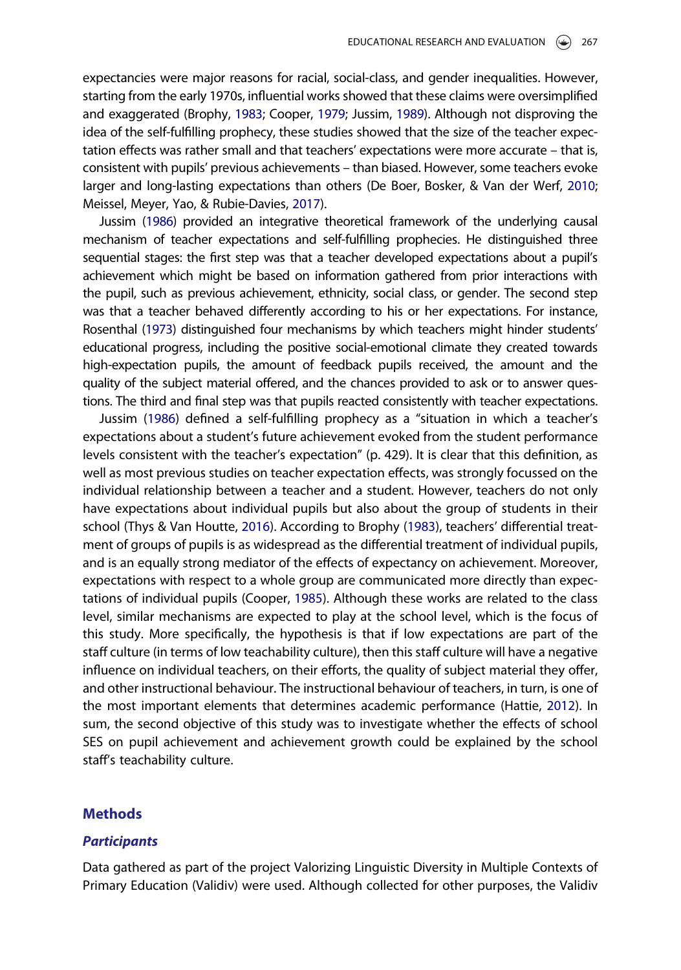<span id="page-4-0"></span>expectancies were major reasons for racial, social-class, and gender inequalities. However, starting from the early 1970s, influential works showed that these claims were oversimplified and exaggerated (Brophy, [1983](#page-11-0); Cooper, [1979](#page-11-0); Jussim, [1989](#page-12-0)). Although not disproving the idea of the self-fulfilling prophecy, these studies showed that the size of the teacher expectation effects was rather small and that teachers' expectations were more accurate – that is, consistent with pupils' previous achievements – than biased. However, some teachers evoke larger and long-lasting expectations than others (De Boer, Bosker, & Van der Werf, [2010](#page-11-0); Meissel, Meyer, Yao, & Rubie-Davies, [2017](#page-12-0)).

Jussim ([1986](#page-12-0)) provided an integrative theoretical framework of the underlying causal mechanism of teacher expectations and self-fulfilling prophecies. He distinguished three sequential stages: the first step was that a teacher developed expectations about a pupil's achievement which might be based on information gathered from prior interactions with the pupil, such as previous achievement, ethnicity, social class, or gender. The second step was that a teacher behaved differently according to his or her expectations. For instance, Rosenthal [\(1973](#page-12-0)) distinguished four mechanisms by which teachers might hinder students' educational progress, including the positive social-emotional climate they created towards high-expectation pupils, the amount of feedback pupils received, the amount and the quality of the subject material offered, and the chances provided to ask or to answer questions. The third and final step was that pupils reacted consistently with teacher expectations.

Jussim ([1986](#page-12-0)) defined a self-fulfilling prophecy as a "situation in which a teacher's expectations about a student's future achievement evoked from the student performance levels consistent with the teacher's expectation" (p. 429). It is clear that this definition, as well as most previous studies on teacher expectation effects, was strongly focussed on the individual relationship between a teacher and a student. However, teachers do not only have expectations about individual pupils but also about the group of students in their school (Thys & Van Houtte, [2016\)](#page-13-0). According to Brophy [\(1983\)](#page-11-0), teachers' differential treatment of groups of pupils is as widespread as the differential treatment of individual pupils, and is an equally strong mediator of the effects of expectancy on achievement. Moreover, expectations with respect to a whole group are communicated more directly than expectations of individual pupils (Cooper, [1985\)](#page-11-0). Although these works are related to the class level, similar mechanisms are expected to play at the school level, which is the focus of this study. More specifically, the hypothesis is that if low expectations are part of the staff culture (in terms of low teachability culture), then this staff culture will have a negative influence on individual teachers, on their efforts, the quality of subject material they offer, and other instructional behaviour. The instructional behaviour of teachers, in turn, is one of the most important elements that determines academic performance (Hattie, [2012\)](#page-12-0). In sum, the second objective of this study was to investigate whether the effects of school SES on pupil achievement and achievement growth could be explained by the school staff's teachability culture.

### **Methods**

#### **Participants**

Data gathered as part of the project Valorizing Linguistic Diversity in Multiple Contexts of Primary Education (Validiv) were used. Although collected for other purposes, the Validiv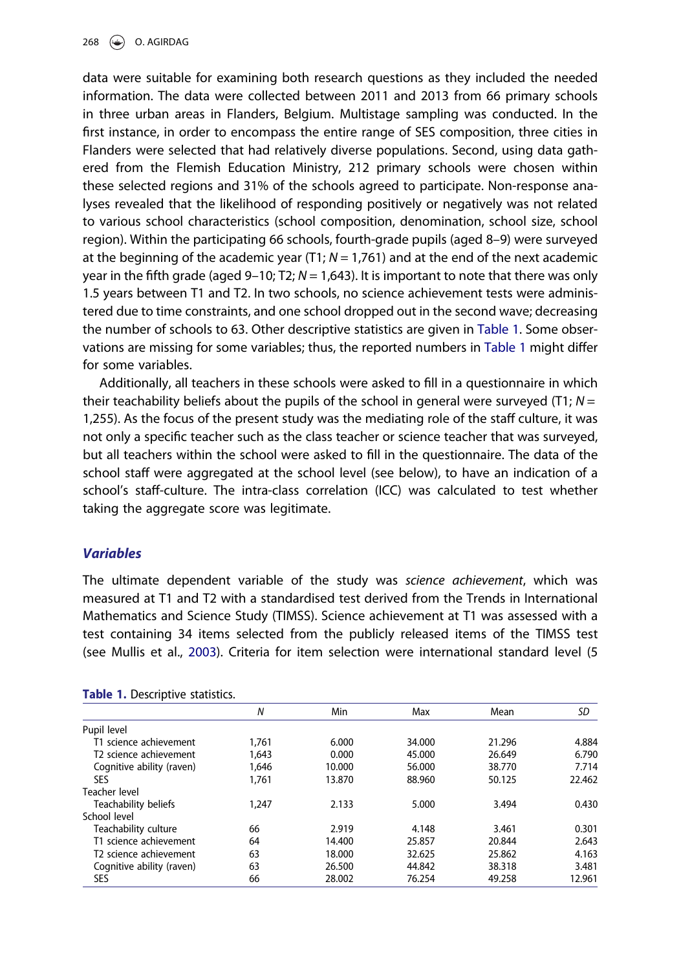<span id="page-5-0"></span>data were suitable for examining both research questions as they included the needed information. The data were collected between 2011 and 2013 from 66 primary schools in three urban areas in Flanders, Belgium. Multistage sampling was conducted. In the first instance, in order to encompass the entire range of SES composition, three cities in Flanders were selected that had relatively diverse populations. Second, using data gathered from the Flemish Education Ministry, 212 primary schools were chosen within these selected regions and 31% of the schools agreed to participate. Non-response analyses revealed that the likelihood of responding positively or negatively was not related to various school characteristics (school composition, denomination, school size, school region). Within the participating 66 schools, fourth-grade pupils (aged 8–9) were surveyed at the beginning of the academic year (T1;  $N = 1,761$ ) and at the end of the next academic year in the fifth grade (aged 9–10; T2;  $N = 1.643$ ). It is important to note that there was only 1.5 years between T1 and T2. In two schools, no science achievement tests were administered due to time constraints, and one school dropped out in the second wave; decreasing the number of schools to 63. Other descriptive statistics are given in Table 1. Some observations are missing for some variables; thus, the reported numbers in Table 1 might differ for some variables.

Additionally, all teachers in these schools were asked to fill in a questionnaire in which their teachability beliefs about the pupils of the school in general were surveyed (T1;  $N =$ 1,255). As the focus of the present study was the mediating role of the staff culture, it was not only a specific teacher such as the class teacher or science teacher that was surveyed, but all teachers within the school were asked to fill in the questionnaire. The data of the school staff were aggregated at the school level (see below), to have an indication of a school's staff-culture. The intra-class correlation (ICC) was calculated to test whether taking the aggregate score was legitimate.

## Variables

The ultimate dependent variable of the study was science achievement, which was measured at T1 and T2 with a standardised test derived from the Trends in International Mathematics and Science Study (TIMSS). Science achievement at T1 was assessed with a test containing 34 items selected from the publicly released items of the TIMSS test (see Mullis et al., [2003\)](#page-12-0). Criteria for item selection were international standard level (5

|                                    | Ν     | Min    | Max    | Mean   | SD     |
|------------------------------------|-------|--------|--------|--------|--------|
| Pupil level                        |       |        |        |        |        |
| T1 science achievement             | 1,761 | 6.000  | 34,000 | 21.296 | 4.884  |
| T <sub>2</sub> science achievement | 1,643 | 0.000  | 45.000 | 26.649 | 6.790  |
| Cognitive ability (raven)          | 1.646 | 10.000 | 56.000 | 38.770 | 7.714  |
| SES                                | 1.761 | 13.870 | 88.960 | 50.125 | 22.462 |
| Teacher level                      |       |        |        |        |        |
| Teachability beliefs               | 1,247 | 2.133  | 5.000  | 3.494  | 0.430  |
| School level                       |       |        |        |        |        |
| Teachability culture               | 66    | 2.919  | 4.148  | 3.461  | 0.301  |
| T1 science achievement             | 64    | 14.400 | 25.857 | 20.844 | 2.643  |
| T <sub>2</sub> science achievement | 63    | 18.000 | 32.625 | 25.862 | 4.163  |
| Cognitive ability (raven)          | 63    | 26.500 | 44.842 | 38.318 | 3.481  |
| SES                                | 66    | 28.002 | 76.254 | 49.258 | 12.961 |

|  |  | Table 1. Descriptive statistics. |  |
|--|--|----------------------------------|--|
|--|--|----------------------------------|--|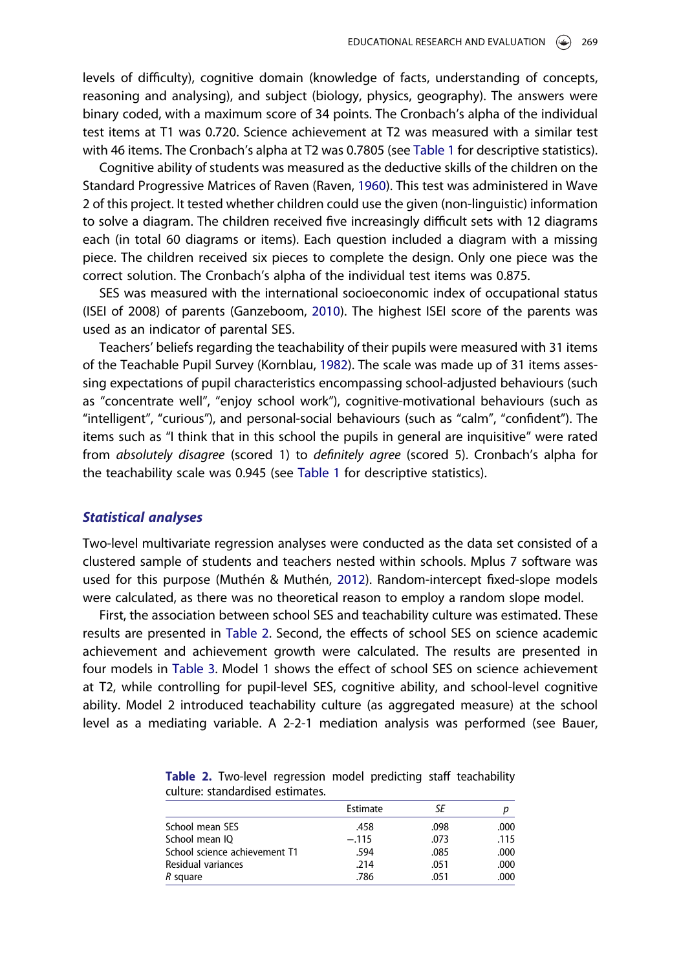<span id="page-6-0"></span>levels of difficulty), cognitive domain (knowledge of facts, understanding of concepts, reasoning and analysing), and subject (biology, physics, geography). The answers were binary coded, with a maximum score of 34 points. The Cronbach's alpha of the individual test items at T1 was 0.720. Science achievement at T2 was measured with a similar test with 46 items. The Cronbach's alpha at T2 was 0.7805 (see [Table 1](#page-5-0) for descriptive statistics).

Cognitive ability of students was measured as the deductive skills of the children on the Standard Progressive Matrices of Raven (Raven, [1960\)](#page-12-0). This test was administered in Wave 2 of this project. It tested whether children could use the given (non-linguistic) information to solve a diagram. The children received five increasingly difficult sets with 12 diagrams each (in total 60 diagrams or items). Each question included a diagram with a missing piece. The children received six pieces to complete the design. Only one piece was the correct solution. The Cronbach's alpha of the individual test items was 0.875.

SES was measured with the international socioeconomic index of occupational status (ISEI of 2008) of parents (Ganzeboom, [2010\)](#page-11-0). The highest ISEI score of the parents was used as an indicator of parental SES.

Teachers' beliefs regarding the teachability of their pupils were measured with 31 items of the Teachable Pupil Survey (Kornblau, [1982](#page-12-0)). The scale was made up of 31 items assessing expectations of pupil characteristics encompassing school-adjusted behaviours (such as "concentrate well", "enjoy school work"), cognitive-motivational behaviours (such as "intelligent", "curious"), and personal-social behaviours (such as "calm", "confident"). The items such as "I think that in this school the pupils in general are inquisitive" were rated from absolutely disagree (scored 1) to definitely agree (scored 5). Cronbach's alpha for the teachability scale was 0.945 (see [Table 1](#page-5-0) for descriptive statistics).

#### Statistical analyses

Two-level multivariate regression analyses were conducted as the data set consisted of a clustered sample of students and teachers nested within schools. Mplus 7 software was used for this purpose (Muthén & Muthén, [2012\)](#page-12-0). Random-intercept fixed-slope models were calculated, as there was no theoretical reason to employ a random slope model.

First, the association between school SES and teachability culture was estimated. These results are presented in Table 2. Second, the effects of school SES on science academic achievement and achievement growth were calculated. The results are presented in four models in [Table 3.](#page-7-0) Model 1 shows the effect of school SES on science achievement at T2, while controlling for pupil-level SES, cognitive ability, and school-level cognitive ability. Model 2 introduced teachability culture (as aggregated measure) at the school level as a mediating variable. A 2-2-1 mediation analysis was performed (see Bauer,

|  |                                  |  | Table 2. Two-level regression model predicting staff teachability |
|--|----------------------------------|--|-------------------------------------------------------------------|
|  | culture: standardised estimates. |  |                                                                   |

|                               | Estimate | SE   |      |
|-------------------------------|----------|------|------|
| School mean SES               | .458     | .098 | .000 |
| School mean IQ                | $-.115$  | .073 | .115 |
| School science achievement T1 | .594     | .085 | .000 |
| Residual variances            | .214     | .051 | .000 |
| R square                      | .786     | .051 | .000 |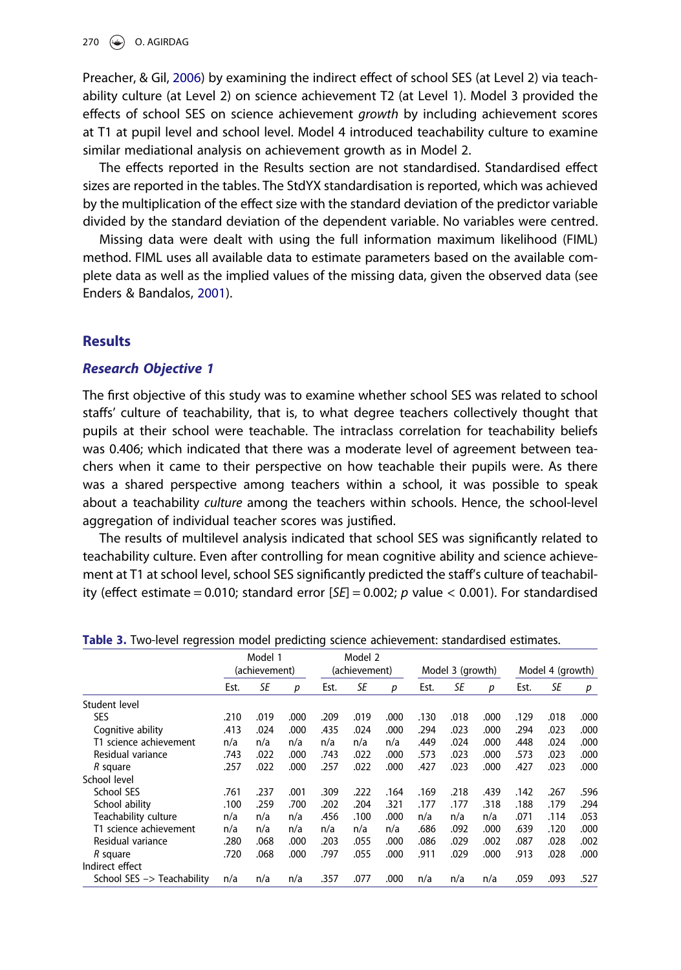<span id="page-7-0"></span>Preacher, & Gil, [2006\)](#page-11-0) by examining the indirect effect of school SES (at Level 2) via teachability culture (at Level 2) on science achievement T2 (at Level 1). Model 3 provided the effects of school SES on science achievement growth by including achievement scores at T1 at pupil level and school level. Model 4 introduced teachability culture to examine similar mediational analysis on achievement growth as in Model 2.

The effects reported in the Results section are not standardised. Standardised effect sizes are reported in the tables. The StdYX standardisation is reported, which was achieved by the multiplication of the effect size with the standard deviation of the predictor variable divided by the standard deviation of the dependent variable. No variables were centred.

Missing data were dealt with using the full information maximum likelihood (FIML) method. FIML uses all available data to estimate parameters based on the available complete data as well as the implied values of the missing data, given the observed data (see Enders & Bandalos, [2001\)](#page-11-0).

#### Results

#### Research Objective 1

The first objective of this study was to examine whether school SES was related to school staffs' culture of teachability, that is, to what degree teachers collectively thought that pupils at their school were teachable. The intraclass correlation for teachability beliefs was 0.406; which indicated that there was a moderate level of agreement between teachers when it came to their perspective on how teachable their pupils were. As there was a shared perspective among teachers within a school, it was possible to speak about a teachability culture among the teachers within schools. Hence, the school-level aggregation of individual teacher scores was justified.

The results of multilevel analysis indicated that school SES was significantly related to teachability culture. Even after controlling for mean cognitive ability and science achievement at T1 at school level, school SES significantly predicted the staff's culture of teachability (effect estimate = 0.010; standard error  $[SE] = 0.002$ ; p value < 0.001). For standardised

|                            | Model 1       |           |                  | Model 2<br>(achievement) |           |      |                  |      |      |      |      |      |
|----------------------------|---------------|-----------|------------------|--------------------------|-----------|------|------------------|------|------|------|------|------|
|                            | (achievement) |           | Model 3 (growth) |                          |           |      | Model 4 (growth) |      |      |      |      |      |
|                            | Est.          | <b>SE</b> | p                | Est.                     | <b>SE</b> | p    | Est.             | SE   | p    | Est. | SE   | p    |
| Student level              |               |           |                  |                          |           |      |                  |      |      |      |      |      |
| <b>SES</b>                 | .210          | .019      | .000             | .209                     | .019      | .000 | .130             | .018 | .000 | .129 | .018 | .000 |
| Cognitive ability          | .413          | .024      | .000             | .435                     | .024      | .000 | .294             | .023 | .000 | .294 | .023 | .000 |
| T1 science achievement     | n/a           | n/a       | n/a              | n/a                      | n/a       | n/a  | .449             | .024 | .000 | .448 | .024 | .000 |
| Residual variance          | .743          | .022      | .000             | .743                     | .022      | .000 | .573             | .023 | .000 | .573 | .023 | .000 |
| R square                   | .257          | .022      | .000             | .257                     | .022      | .000 | .427             | .023 | .000 | .427 | .023 | .000 |
| School level               |               |           |                  |                          |           |      |                  |      |      |      |      |      |
| School SES                 | .761          | .237      | .001             | .309                     | .222      | .164 | .169             | .218 | .439 | .142 | .267 | .596 |
| School ability             | .100          | .259      | .700             | .202                     | .204      | .321 | .177             | .177 | .318 | .188 | .179 | .294 |
| Teachability culture       | n/a           | n/a       | n/a              | .456                     | .100      | .000 | n/a              | n/a  | n/a  | .071 | .114 | .053 |
| T1 science achievement     | n/a           | n/a       | n/a              | n/a                      | n/a       | n/a  | .686             | .092 | .000 | .639 | .120 | .000 |
| Residual variance          | .280          | .068      | .000             | .203                     | .055      | .000 | .086             | .029 | .002 | .087 | .028 | .002 |
| R square                   | .720          | .068      | .000             | .797                     | .055      | .000 | .911             | .029 | .000 | .913 | .028 | .000 |
| Indirect effect            |               |           |                  |                          |           |      |                  |      |      |      |      |      |
| School SES -> Teachability | n/a           | n/a       | n/a              | .357                     | .077      | .000 | n/a              | n/a  | n/a  | .059 | .093 | .527 |

|  |  |  |  |  |  | Table 3. Two-level regression model predicting science achievement: standardised estimates. |  |  |
|--|--|--|--|--|--|---------------------------------------------------------------------------------------------|--|--|
|--|--|--|--|--|--|---------------------------------------------------------------------------------------------|--|--|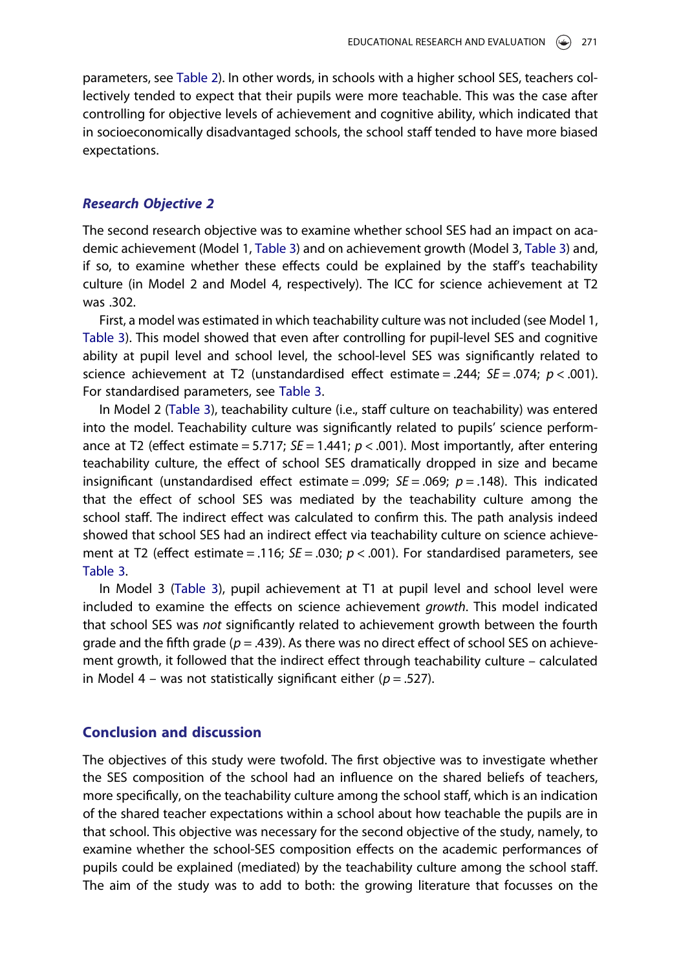parameters, see [Table 2](#page-6-0)). In other words, in schools with a higher school SES, teachers collectively tended to expect that their pupils were more teachable. This was the case after controlling for objective levels of achievement and cognitive ability, which indicated that in socioeconomically disadvantaged schools, the school staff tended to have more biased expectations.

#### Research Objective 2

The second research objective was to examine whether school SES had an impact on academic achievement (Model 1, [Table 3\)](#page-7-0) and on achievement growth (Model 3, [Table 3](#page-7-0)) and, if so, to examine whether these effects could be explained by the staff's teachability culture (in Model 2 and Model 4, respectively). The ICC for science achievement at T2 was .302.

First, a model was estimated in which teachability culture was not included (see Model 1, [Table 3\)](#page-7-0). This model showed that even after controlling for pupil-level SES and cognitive ability at pupil level and school level, the school-level SES was significantly related to science achievement at T2 (unstandardised effect estimate = .244;  $SE = .074$ ;  $p < .001$ ). For standardised parameters, see [Table 3](#page-7-0).

In Model 2 [\(Table 3\)](#page-7-0), teachability culture (i.e., staff culture on teachability) was entered into the model. Teachability culture was significantly related to pupils' science performance at T2 (effect estimate = 5.717;  $SE = 1.441$ ;  $p < .001$ ). Most importantly, after entering teachability culture, the effect of school SES dramatically dropped in size and became insignificant (unstandardised effect estimate = .099;  $SE = .069$ ;  $p = .148$ ). This indicated that the effect of school SES was mediated by the teachability culture among the school staff. The indirect effect was calculated to confirm this. The path analysis indeed showed that school SES had an indirect effect via teachability culture on science achievement at T2 (effect estimate = .116;  $SE = .030$ ;  $p < .001$ ). For standardised parameters, see [Table 3.](#page-7-0)

In Model 3 [\(Table 3](#page-7-0)), pupil achievement at T1 at pupil level and school level were included to examine the effects on science achievement growth. This model indicated that school SES was not significantly related to achievement growth between the fourth grade and the fifth grade ( $p = .439$ ). As there was no direct effect of school SES on achievement growth, it followed that the indirect effect through teachability culture – calculated in Model 4 – was not statistically significant either ( $p = .527$ ).

## Conclusion and discussion

The objectives of this study were twofold. The first objective was to investigate whether the SES composition of the school had an influence on the shared beliefs of teachers, more specifically, on the teachability culture among the school staff, which is an indication of the shared teacher expectations within a school about how teachable the pupils are in that school. This objective was necessary for the second objective of the study, namely, to examine whether the school-SES composition effects on the academic performances of pupils could be explained (mediated) by the teachability culture among the school staff. The aim of the study was to add to both: the growing literature that focusses on the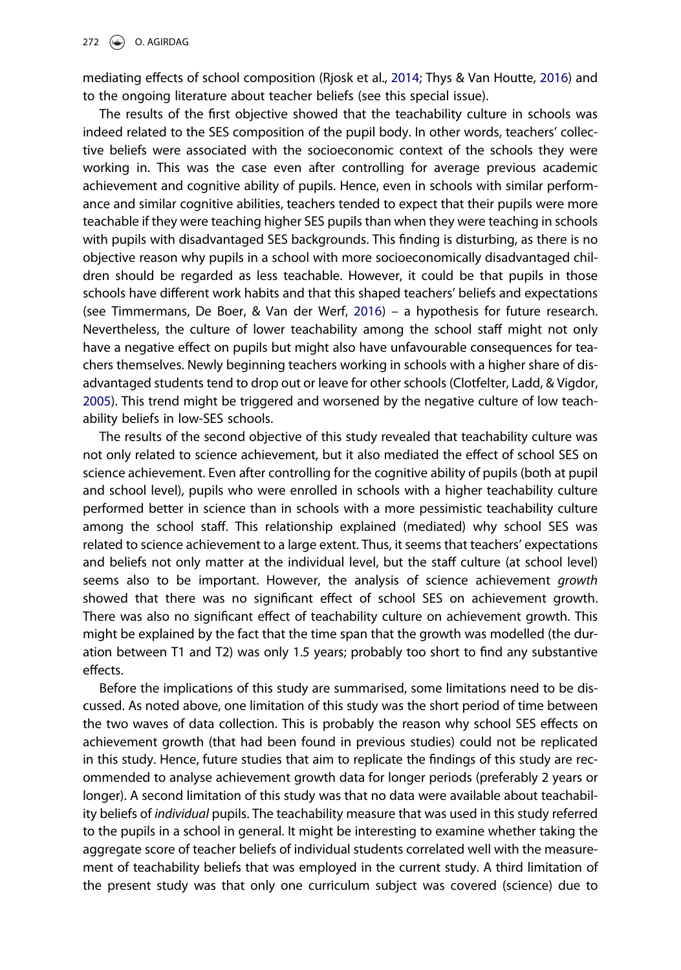<span id="page-9-0"></span>mediating effects of school composition (Rjosk et al., [2014;](#page-12-0) Thys & Van Houtte, [2016\)](#page-13-0) and to the ongoing literature about teacher beliefs (see this special issue).

The results of the first objective showed that the teachability culture in schools was indeed related to the SES composition of the pupil body. In other words, teachers' collective beliefs were associated with the socioeconomic context of the schools they were working in. This was the case even after controlling for average previous academic achievement and cognitive ability of pupils. Hence, even in schools with similar performance and similar cognitive abilities, teachers tended to expect that their pupils were more teachable if they were teaching higher SES pupils than when they were teaching in schools with pupils with disadvantaged SES backgrounds. This finding is disturbing, as there is no objective reason why pupils in a school with more socioeconomically disadvantaged children should be regarded as less teachable. However, it could be that pupils in those schools have different work habits and that this shaped teachers' beliefs and expectations (see Timmermans, De Boer, & Van der Werf, [2016\)](#page-13-0) – a hypothesis for future research. Nevertheless, the culture of lower teachability among the school staff might not only have a negative effect on pupils but might also have unfavourable consequences for teachers themselves. Newly beginning teachers working in schools with a higher share of disadvantaged students tend to drop out or leave for other schools (Clotfelter, Ladd, & Vigdor, [2005](#page-11-0)). This trend might be triggered and worsened by the negative culture of low teachability beliefs in low-SES schools.

The results of the second objective of this study revealed that teachability culture was not only related to science achievement, but it also mediated the effect of school SES on science achievement. Even after controlling for the cognitive ability of pupils (both at pupil and school level), pupils who were enrolled in schools with a higher teachability culture performed better in science than in schools with a more pessimistic teachability culture among the school staff. This relationship explained (mediated) why school SES was related to science achievement to a large extent. Thus, it seems that teachers' expectations and beliefs not only matter at the individual level, but the staff culture (at school level) seems also to be important. However, the analysis of science achievement growth showed that there was no significant effect of school SES on achievement growth. There was also no significant effect of teachability culture on achievement growth. This might be explained by the fact that the time span that the growth was modelled (the duration between T1 and T2) was only 1.5 years; probably too short to find any substantive effects.

Before the implications of this study are summarised, some limitations need to be discussed. As noted above, one limitation of this study was the short period of time between the two waves of data collection. This is probably the reason why school SES effects on achievement growth (that had been found in previous studies) could not be replicated in this study. Hence, future studies that aim to replicate the findings of this study are recommended to analyse achievement growth data for longer periods (preferably 2 years or longer). A second limitation of this study was that no data were available about teachability beliefs of individual pupils. The teachability measure that was used in this study referred to the pupils in a school in general. It might be interesting to examine whether taking the aggregate score of teacher beliefs of individual students correlated well with the measurement of teachability beliefs that was employed in the current study. A third limitation of the present study was that only one curriculum subject was covered (science) due to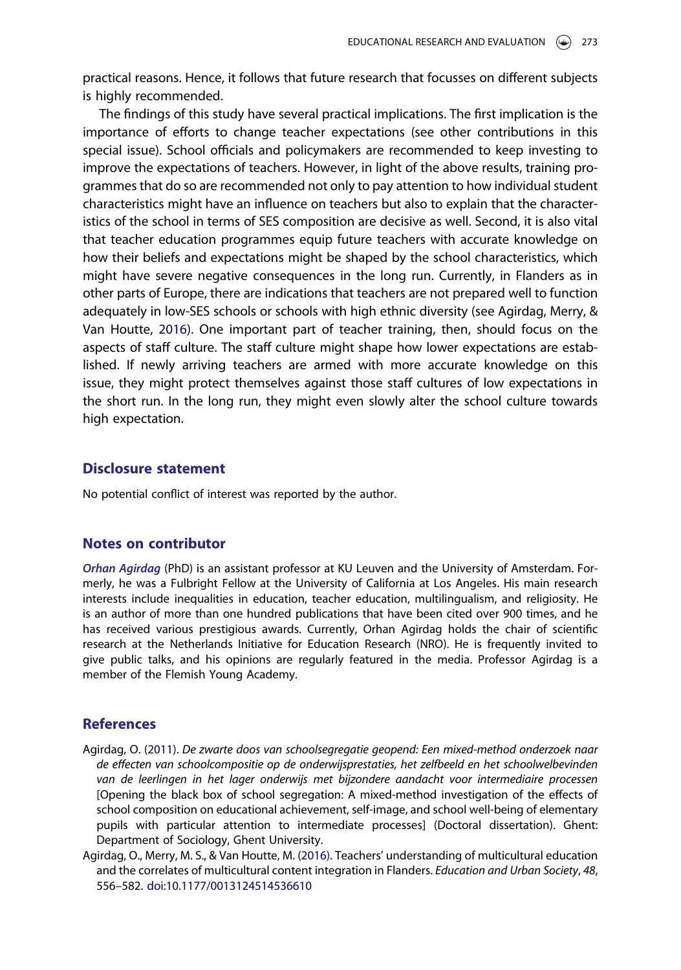<span id="page-10-0"></span>practical reasons. Hence, it follows that future research that focusses on different subjects is highly recommended.

The findings of this study have several practical implications. The first implication is the importance of efforts to change teacher expectations (see other contributions in this special issue). School officials and policymakers are recommended to keep investing to improve the expectations of teachers. However, in light of the above results, training programmes that do so are recommended not only to pay attention to how individual student characteristics might have an influence on teachers but also to explain that the characteristics of the school in terms of SES composition are decisive as well. Second, it is also vital that teacher education programmes equip future teachers with accurate knowledge on how their beliefs and expectations might be shaped by the school characteristics, which might have severe negative consequences in the long run. Currently, in Flanders as in other parts of Europe, there are indications that teachers are not prepared well to function adequately in low-SES schools or schools with high ethnic diversity (see Agirdag, Merry, & Van Houtte, 2016). One important part of teacher training, then, should focus on the aspects of staff culture. The staff culture might shape how lower expectations are established. If newly arriving teachers are armed with more accurate knowledge on this issue, they might protect themselves against those staff cultures of low expectations in the short run. In the long run, they might even slowly alter the school culture towards high expectation.

## Disclosure statement

No potential conflict of interest was reported by the author.

### Notes on contributor

Orhan Agirdag (PhD) is an assistant professor at KU Leuven and the University of Amsterdam. Formerly, he was a Fulbright Fellow at the University of California at Los Angeles. His main research interests include inequalities in education, teacher education, multilingualism, and religiosity. He is an author of more than one hundred publications that have been cited over 900 times, and he has received various prestigious awards. Currently, Orhan Agirdag holds the chair of scientific research at the Netherlands Initiative for Education Research (NRO). He is frequently invited to give public talks, and his opinions are regularly featured in the media. Professor Agirdag is a member of the Flemish Young Academy.

#### References

- Agirdag, O. ([2011](#page-3-0)). De zwarte doos van schoolsegregatie geopend: Een mixed-method onderzoek naar de effecten van schoolcompositie op de onderwijsprestaties, het zelfbeeld en het schoolwelbevinden van de leerlingen in het lager onderwijs met bijzondere aandacht voor intermediaire processen [Opening the black box of school segregation: A mixed-method investigation of the effects of school composition on educational achievement, self-image, and school well-being of elementary pupils with particular attention to intermediate processes] (Doctoral dissertation). Ghent: Department of Sociology, Ghent University.
- Agirdag, O., Merry, M. S., & Van Houtte, M. (2016). Teachers' understanding of multicultural education and the correlates of multicultural content integration in Flanders. Education and Urban Society, 48, 556–582. [doi:10.1177/0013124514536610](https://doi.org/10.1177/0013124514536610)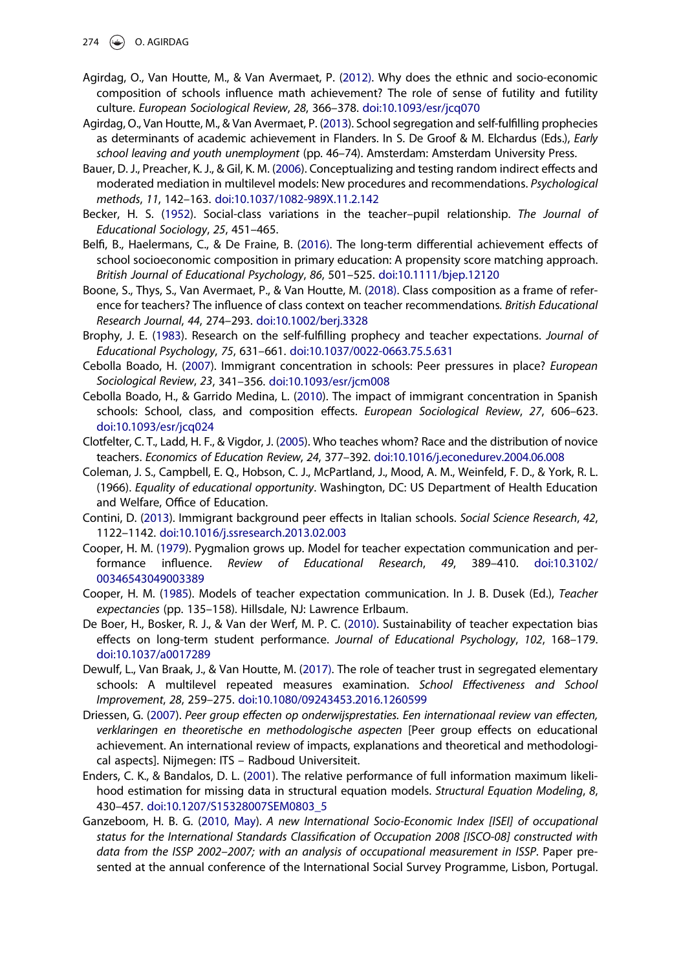- <span id="page-11-0"></span> $\circledast$  O. AGIRDAG
- Agirdag, O., Van Houtte, M., & Van Avermaet, P. [\(2012\)](#page-1-0). Why does the ethnic and socio-economic composition of schools influence math achievement? The role of sense of futility and futility culture. European Sociological Review, 28, 366–378. [doi:10.1093/esr/jcq070](https://doi.org/10.1093/esr/jcq070)
- Agirdag, O., Van Houtte, M., & Van Avermaet, P. [\(2013](#page-2-0)). School segregation and self-fulfilling prophecies as determinants of academic achievement in Flanders. In S. De Groof & M. Elchardus (Eds.), *Early* school leaving and youth unemployment (pp. 46–74). Amsterdam: Amsterdam University Press.
- Bauer, D. J., Preacher, K. J., & Gil, K. M. ([2006](#page-7-0)). Conceptualizing and testing random indirect effects and moderated mediation in multilevel models: New procedures and recommendations. Psychological methods, 11, 142–163. [doi:10.1037/1082-989X.11.2.142](https://doi.org/10.1037/1082-989X.11.2.142)
- Becker, H. S. [\(1952\)](#page-3-0). Social-class variations in the teacher–pupil relationship. The Journal of Educational Sociology, 25, 451–465.
- Belfi, B., Haelermans, C., & De Fraine, B. ([2016\).](#page-1-0) The long-term differential achievement effects of school socioeconomic composition in primary education: A propensity score matching approach. British Journal of Educational Psychology, 86, 501–525. [doi:10.1111/bjep.12120](https://doi.org/10.1111/bjep.12120)
- Boone, S., Thys, S., Van Avermaet, P., & Van Houtte, M. ([2018\).](#page-2-0) Class composition as a frame of reference for teachers? The influence of class context on teacher recommendations. British Educational Research Journal, 44, 274–293. [doi:10.1002/berj.3328](https://doi.org/10.1002/berj.3328)
- Brophy, J. E. ([1983](#page-4-0)). Research on the self-fulfilling prophecy and teacher expectations. Journal of Educational Psychology, 75, 631–661. [doi:10.1037/0022-0663.75.5.631](https://doi.org/10.1037/0022-0663.75.5.631)
- Cebolla Boado, H. [\(2007\)](#page-1-0). Immigrant concentration in schools: Peer pressures in place? European Sociological Review, 23, 341–356. [doi:10.1093/esr/jcm008](https://doi.org/10.1093/esr/jcm008)
- Cebolla Boado, H., & Garrido Medina, L. [\(2010\)](#page-1-0). The impact of immigrant concentration in Spanish schools: School, class, and composition effects. European Sociological Review, 27, 606–623. [doi:10.1093/esr/jcq024](https://doi.org/10.1093/esr/jcq024)
- Clotfelter, C. T., Ladd, H. F., & Vigdor, J. [\(2005](#page-9-0)). Who teaches whom? Race and the distribution of novice teachers. Economics of Education Review, 24, 377–392. [doi:10.1016/j.econedurev.2004.06.008](https://doi.org/10.1016/j.econedurev.2004.06.008)
- Coleman, J. S., Campbell, E. Q., Hobson, C. J., McPartland, J., Mood, A. M., Weinfeld, F. D., & York, R. L. (1966). Equality of educational opportunity. Washington, DC: US Department of Health Education and Welfare, Office of Education.
- Contini, D. [\(2013\)](#page-1-0). Immigrant background peer effects in Italian schools. Social Science Research, 42, 1122–1142. [doi:10.1016/j.ssresearch.2013.02.003](https://doi.org/10.1016/j.ssresearch.2013.02.003)
- Cooper, H. M. ([1979](#page-4-0)). Pygmalion grows up. Model for teacher expectation communication and performance influence. Review of Educational Research, 49, 389–410. [doi:10.3102/](https://doi.org/10.3102/00346543049003389) [00346543049003389](https://doi.org/10.3102/00346543049003389)
- Cooper, H. M. [\(1985\)](#page-4-0). Models of teacher expectation communication. In J. B. Dusek (Ed.), Teacher expectancies (pp. 135–158). Hillsdale, NJ: Lawrence Erlbaum.
- De Boer, H., Bosker, R. J., & Van der Werf, M. P. C. ([2010\).](#page-4-0) Sustainability of teacher expectation bias effects on long-term student performance. Journal of Educational Psychology, 102, 168–179. [doi:10.1037/a0017289](https://doi.org/10.1037/a0017289)
- Dewulf, L., Van Braak, J., & Van Houtte, M. [\(2017\)](#page-2-0). The role of teacher trust in segregated elementary schools: A multilevel repeated measures examination. School Effectiveness and School Improvement, 28, 259–275. [doi:10.1080/09243453.2016.1260599](https://doi.org/10.1080/09243453.2016.1260599)
- Driessen, G. ([2007](#page-1-0)). Peer group effecten op onderwijsprestaties. Een internationaal review van effecten, verklaringen en theoretische en methodologische aspecten [Peer group effects on educational achievement. An international review of impacts, explanations and theoretical and methodological aspects]. Nijmegen: ITS – Radboud Universiteit.
- Enders, C. K., & Bandalos, D. L. ([2001](#page-7-0)). The relative performance of full information maximum likelihood estimation for missing data in structural equation models. Structural Equation Modeling, 8, 430–457. [doi:10.1207/S15328007SEM0803\\_5](https://doi.org/10.1207/S15328007SEM0803_5)
- Ganzeboom, H. B. G. ([2010, May](#page-6-0)). A new International Socio-Economic Index [ISEI] of occupational status for the International Standards Classification of Occupation 2008 [ISCO-08] constructed with data from the ISSP 2002–2007; with an analysis of occupational measurement in ISSP. Paper presented at the annual conference of the International Social Survey Programme, Lisbon, Portugal.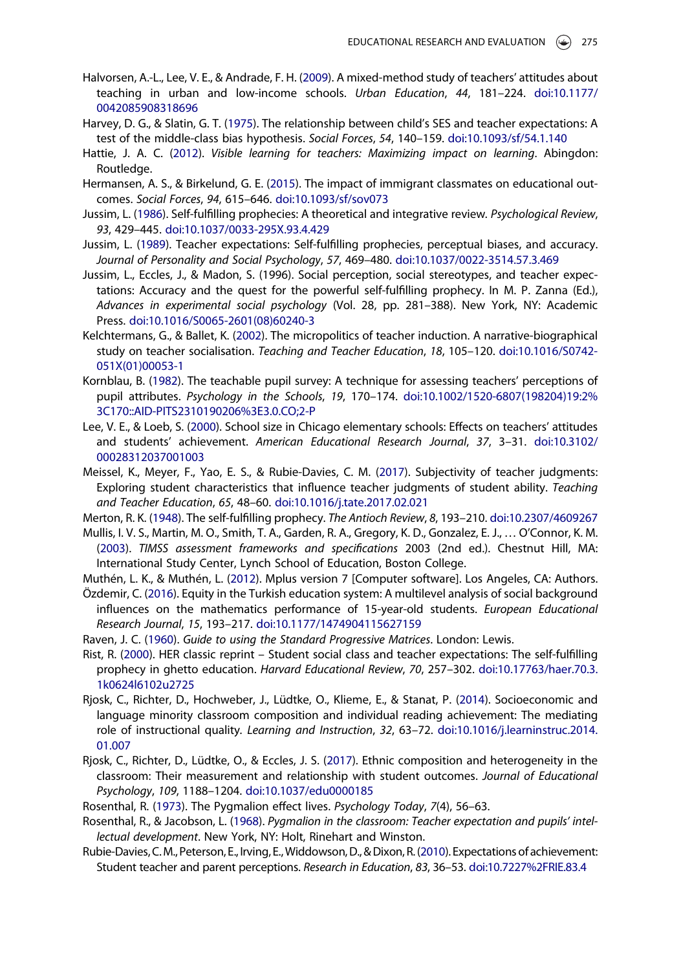- <span id="page-12-0"></span>Halvorsen, A.-L., Lee, V. E., & Andrade, F. H. [\(2009\)](#page-3-0). A mixed-method study of teachers' attitudes about teaching in urban and low-income schools. Urban Education, 44, 181–224. [doi:10.1177/](https://doi.org/10.1177/0042085908318696) [0042085908318696](https://doi.org/10.1177/0042085908318696)
- Harvey, D. G., & Slatin, G. T. ([1975](#page-3-0)). The relationship between child's SES and teacher expectations: A test of the middle-class bias hypothesis. Social Forces, 54, 140–159. [doi:10.1093/sf/54.1.140](https://doi.org/10.1093/sf/54.1.140)
- Hattie, J. A. C. [\(2012\)](#page-2-0). Visible learning for teachers: Maximizing impact on learning. Abingdon: Routledge.
- Hermansen, A. S., & Birkelund, G. E. ([2015](#page-1-0)). The impact of immigrant classmates on educational outcomes. Social Forces, 94, 615–646. [doi:10.1093/sf/sov073](https://doi.org/10.1093/sf/sov073)
- Jussim, L. [\(1986\)](#page-4-0). Self-fulfilling prophecies: A theoretical and integrative review. Psychological Review, 93, 429–445. [doi:10.1037/0033-295X.93.4.429](https://doi.org/10.1037/0033-295X.93.4.429)
- Jussim, L. ([1989](#page-4-0)). Teacher expectations: Self-fulfilling prophecies, perceptual biases, and accuracy. Journal of Personality and Social Psychology, 57, 469–480. [doi:10.1037/0022-3514.57.3.469](https://doi.org/10.1037/0022-3514.57.3.469)
- Jussim, L., Eccles, J., & Madon, S. (1996). Social perception, social stereotypes, and teacher expectations: Accuracy and the quest for the powerful self-fulfilling prophecy. In M. P. Zanna (Ed.), Advances in experimental social psychology (Vol. 28, pp. 281–388). New York, NY: Academic Press. [doi:10.1016/S0065-2601\(08\)60240-3](https://doi.org/10.1016/S0065-2601(08)60240-3)
- Kelchtermans, G., & Ballet, K. [\(2002](#page-3-0)). The micropolitics of teacher induction. A narrative-biographical study on teacher socialisation. Teaching and Teacher Education, 18, 105–120. [doi:10.1016/S0742-](https://doi.org/10.1016/S0742-051X(01)00053-1) [051X\(01\)00053-1](https://doi.org/10.1016/S0742-051X(01)00053-1)
- Kornblau, B. [\(1982\)](#page-3-0). The teachable pupil survey: A technique for assessing teachers' perceptions of pupil attributes. Psychology in the Schools, 19, 170–174. [doi:10.1002/1520-6807\(198204\)19:2%](https://doi.org/10.1002/1520-6807(198204)19:2%3C170::AID-PITS2310190206%3E3.0.CO;2-P) [3C170::AID-PITS2310190206%3E3.0.CO;2-P](https://doi.org/10.1002/1520-6807(198204)19:2%3C170::AID-PITS2310190206%3E3.0.CO;2-P)
- Lee, V. E., & Loeb, S. [\(2000](#page-3-0)). School size in Chicago elementary schools: Effects on teachers' attitudes and students' achievement. American Educational Research Journal, 37, 3–31. [doi:10.3102/](https://doi.org/10.3102/00028312037001003) [00028312037001003](https://doi.org/10.3102/00028312037001003)
- Meissel, K., Meyer, F., Yao, E. S., & Rubie-Davies, C. M. ([2017](#page-4-0)). Subjectivity of teacher judgments: Exploring student characteristics that influence teacher judgments of student ability. Teaching and Teacher Education, 65, 48–60. [doi:10.1016/j.tate.2017.02.021](https://doi.org/10.1016/j.tate.2017.02.021)
- Merton, R. K. ([1948\)](#page-2-0). The self-fulfilling prophecy. The Antioch Review, 8, 193–210. [doi:10.2307/4609267](https://doi.org/10.2307/4609267)
- Mullis, I. V. S., Martin, M. O., Smith, T. A., Garden, R. A., Gregory, K. D., Gonzalez, E. J., … O'Connor, K. M. ([2003\)](#page-5-0). TIMSS assessment frameworks and specifications 2003 (2nd ed.). Chestnut Hill, MA: International Study Center, Lynch School of Education, Boston College.
- Muthén, L. K., & Muthén, L. ([2012](#page-6-0)). Mplus version 7 [Computer software]. Los Angeles, CA: Authors.
- Özdemir, C. [\(2016](#page-1-0)). Equity in the Turkish education system: A multilevel analysis of social background influences on the mathematics performance of 15-year-old students. European Educational Research Journal, 15, 193–217. [doi:10.1177/1474904115627159](https://doi.org/10.1177/1474904115627159)
- Raven, J. C. [\(1960\)](#page-6-0). Guide to using the Standard Progressive Matrices. London: Lewis.
- Rist, R. ([2000](#page-3-0)). HER classic reprint Student social class and teacher expectations: The self-fulfilling prophecy in ghetto education. Harvard Educational Review, 70, 257–302. [doi:10.17763/haer.70.3.](https://doi.org/10.17763/haer.70.3.1k0624l6102u2725) [1k0624l6102u2725](https://doi.org/10.17763/haer.70.3.1k0624l6102u2725)
- Rjosk, C., Richter, D., Hochweber, J., Lüdtke, O., Klieme, E., & Stanat, P. ([2014](#page-2-0)). Socioeconomic and language minority classroom composition and individual reading achievement: The mediating role of instructional quality. Learning and Instruction, 32, 63–72. [doi:10.1016/j.learninstruc.2014.](https://doi.org/10.1016/j.learninstruc.2014.01.007) [01.007](https://doi.org/10.1016/j.learninstruc.2014.01.007)
- Rjosk, C., Richter, D., Lüdtke, O., & Eccles, J. S. ([2017](#page-1-0)). Ethnic composition and heterogeneity in the classroom: Their measurement and relationship with student outcomes. Journal of Educational Psychology, 109, 1188–1204. [doi:10.1037/edu0000185](https://doi.org/10.1037/edu0000185)
- Rosenthal, R. [\(1973\)](#page-4-0). The Pygmalion effect lives. Psychology Today, 7(4), 56–63.
- Rosenthal, R., & Jacobson, L. [\(1968\)](#page-3-0). Pygmalion in the classroom: Teacher expectation and pupils' intellectual development. New York, NY: Holt, Rinehart and Winston.
- Rubie-Davies, C.M., Peterson, E., Irving, E.,Widdowson, D., & Dixon, R. ([2010\)](#page-3-0). Expectations of achievement: Student teacher and parent perceptions. Research in Education, 83, 36–53. [doi:10.7227%2FRIE.83.4](https://doi.org/10.7227%2FRIE.83.4)